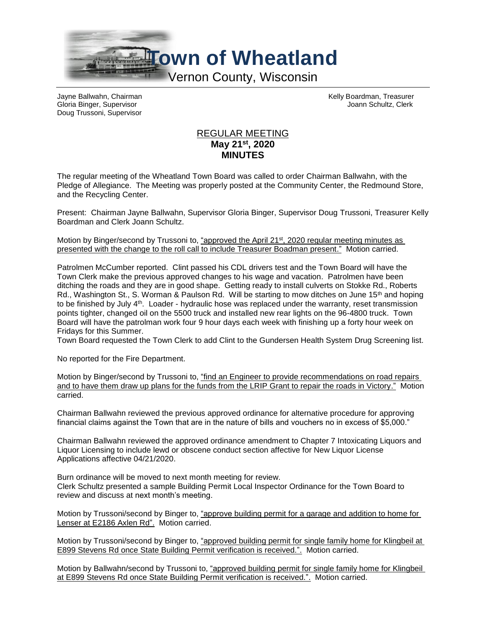

Gloria Binger, Supervisor Joann Schultz, Clerk Doug Trussoni, Supervisor

Jayne Ballwahn, Chairman Kelly Boardman, Treasurer

## REGULAR MEETING **May 21st, 2020 MINUTES**

The regular meeting of the Wheatland Town Board was called to order Chairman Ballwahn, with the Pledge of Allegiance. The Meeting was properly posted at the Community Center, the Redmound Store, and the Recycling Center.

Present: Chairman Jayne Ballwahn, Supervisor Gloria Binger, Supervisor Doug Trussoni, Treasurer Kelly Boardman and Clerk Joann Schultz.

Motion by Binger/second by Trussoni to, "approved the April 21<sup>st</sup>, 2020 regular meeting minutes as presented with the change to the roll call to include Treasurer Boadman present." Motion carried.

Patrolmen McCumber reported. Clint passed his CDL drivers test and the Town Board will have the Town Clerk make the previous approved changes to his wage and vacation. Patrolmen have been ditching the roads and they are in good shape. Getting ready to install culverts on Stokke Rd., Roberts Rd., Washington St., S. Worman & Paulson Rd. Will be starting to mow ditches on June 15<sup>th</sup> and hoping to be finished by July 4<sup>th</sup>. Loader - hydraulic hose was replaced under the warranty, reset transmission points tighter, changed oil on the 5500 truck and installed new rear lights on the 96-4800 truck. Town Board will have the patrolman work four 9 hour days each week with finishing up a forty hour week on Fridays for this Summer.

Town Board requested the Town Clerk to add Clint to the Gundersen Health System Drug Screening list.

No reported for the Fire Department.

Motion by Binger/second by Trussoni to, "find an Engineer to provide recommendations on road repairs and to have them draw up plans for the funds from the LRIP Grant to repair the roads in Victory." Motion carried.

Chairman Ballwahn reviewed the previous approved ordinance for alternative procedure for approving financial claims against the Town that are in the nature of bills and vouchers no in excess of \$5,000."

Chairman Ballwahn reviewed the approved ordinance amendment to Chapter 7 Intoxicating Liquors and Liquor Licensing to include lewd or obscene conduct section affective for New Liquor License Applications affective 04/21/2020.

Burn ordinance will be moved to next month meeting for review. Clerk Schultz presented a sample Building Permit Local Inspector Ordinance for the Town Board to review and discuss at next month's meeting.

Motion by Trussoni/second by Binger to, "approve building permit for a garage and addition to home for Lenser at E2186 Axlen Rd". Motion carried.

Motion by Trussoni/second by Binger to, "approved building permit for single family home for Klingbeil at E899 Stevens Rd once State Building Permit verification is received.". Motion carried.

Motion by Ballwahn/second by Trussoni to, "approved building permit for single family home for Klingbeil at E899 Stevens Rd once State Building Permit verification is received.". Motion carried.